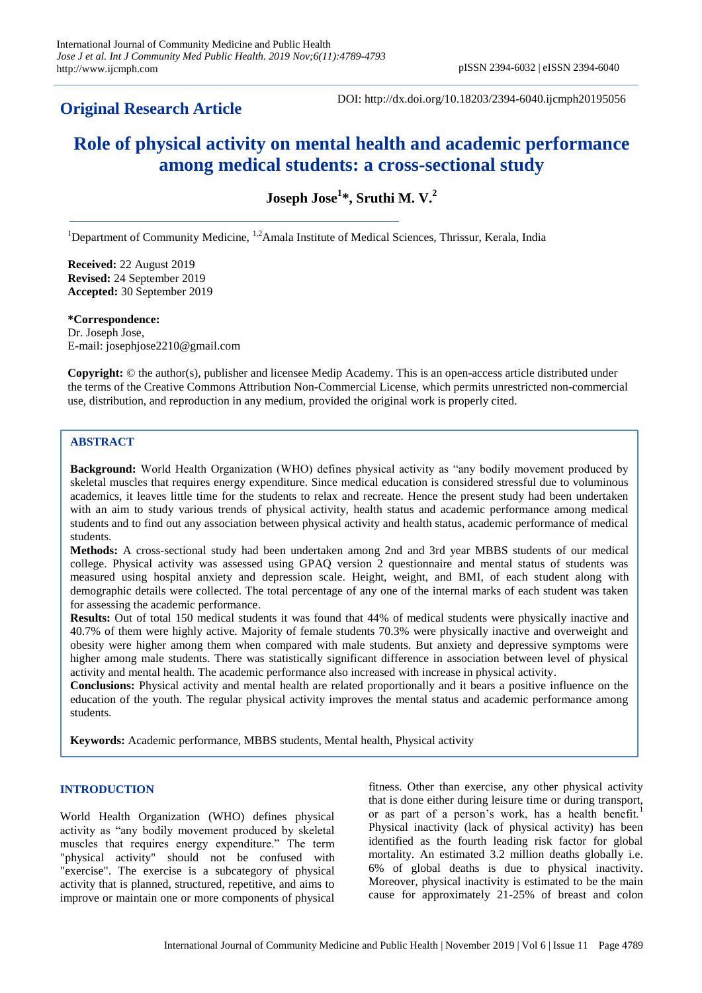## **Original Research Article**

DOI: http://dx.doi.org/10.18203/2394-6040.ijcmph20195056

# **Role of physical activity on mental health and academic performance among medical students: a cross-sectional study**

**Joseph Jose<sup>1</sup> \*, Sruthi M. V.<sup>2</sup>**

<sup>1</sup>Department of Community Medicine,  $1.2$ Amala Institute of Medical Sciences, Thrissur, Kerala, India

**Received:** 22 August 2019 **Revised:** 24 September 2019 **Accepted:** 30 September 2019

**\*Correspondence:** Dr. Joseph Jose, E-mail: josephjose2210@gmail.com

**Copyright:** © the author(s), publisher and licensee Medip Academy. This is an open-access article distributed under the terms of the Creative Commons Attribution Non-Commercial License, which permits unrestricted non-commercial use, distribution, and reproduction in any medium, provided the original work is properly cited.

#### **ABSTRACT**

**Background:** World Health Organization (WHO) defines physical activity as "any bodily movement produced by skeletal muscles that requires energy expenditure. Since medical education is considered stressful due to voluminous academics, it leaves little time for the students to relax and recreate. Hence the present study had been undertaken with an aim to study various trends of physical activity, health status and academic performance among medical students and to find out any association between physical activity and health status, academic performance of medical students.

**Methods:** A cross-sectional study had been undertaken among 2nd and 3rd year MBBS students of our medical college. Physical activity was assessed using GPAQ version 2 questionnaire and mental status of students was measured using hospital anxiety and depression scale. Height, weight, and BMI, of each student along with demographic details were collected. The total percentage of any one of the internal marks of each student was taken for assessing the academic performance.

**Results:** Out of total 150 medical students it was found that 44% of medical students were physically inactive and 40.7% of them were highly active. Majority of female students 70.3% were physically inactive and overweight and obesity were higher among them when compared with male students. But anxiety and depressive symptoms were higher among male students. There was statistically significant difference in association between level of physical activity and mental health. The academic performance also increased with increase in physical activity.

**Conclusions:** Physical activity and mental health are related proportionally and it bears a positive influence on the education of the youth. The regular physical activity improves the mental status and academic performance among students.

**Keywords:** Academic performance, MBBS students, Mental health, Physical activity

### **INTRODUCTION**

World Health Organization (WHO) defines physical activity as "any bodily movement produced by skeletal muscles that requires energy expenditure." The term "physical activity" should not be confused with "exercise". The exercise is a subcategory of physical activity that is planned, structured, repetitive, and aims to improve or maintain one or more components of physical

fitness. Other than exercise, any other physical activity that is done either during leisure time or during transport, or as part of a person's work, has a health benefit.<sup>1</sup> Physical inactivity (lack of physical activity) has been identified as the fourth leading risk factor for global mortality. An estimated 3.2 million deaths globally i.e. 6% of global deaths is due to physical inactivity. Moreover, physical inactivity is estimated to be the main cause for approximately 21-25% of breast and colon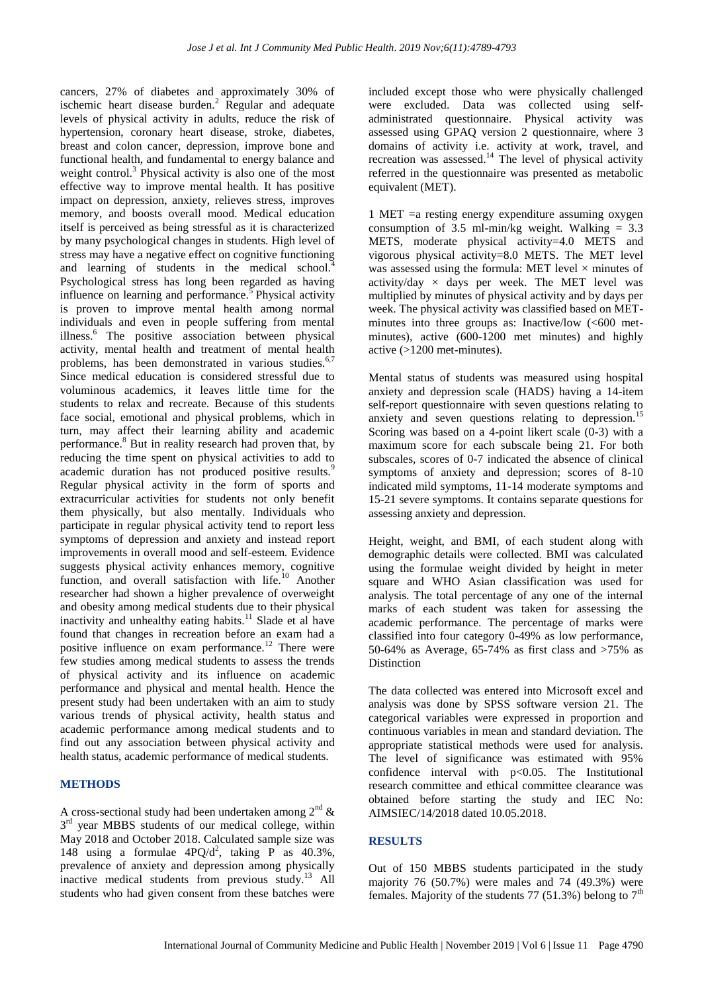cancers, 27% of diabetes and approximately 30% of ischemic heart disease burden.<sup>2</sup> Regular and adequate levels of physical activity in adults, reduce the risk of hypertension, coronary heart disease, stroke, diabetes, breast and colon cancer, depression, improve bone and functional health, and fundamental to energy balance and weight control.<sup>3</sup> Physical activity is also one of the most effective way to improve mental health. It has positive impact on depression, anxiety, relieves stress, improves memory, and boosts overall mood. Medical education itself is perceived as being stressful as it is characterized by many psychological changes in students. High level of stress may have a negative effect on cognitive functioning and learning of students in the medical school.<sup>4</sup> Psychological stress has long been regarded as having influence on learning and performance.<sup>5</sup> Physical activity is proven to improve mental health among normal individuals and even in people suffering from mental illness.<sup>6</sup> The positive association between physical activity, mental health and treatment of mental health problems, has been demonstrated in various studies.<sup>6,7</sup> Since medical education is considered stressful due to voluminous academics, it leaves little time for the students to relax and recreate. Because of this students face social, emotional and physical problems, which in turn, may affect their learning ability and academic performance.<sup>8</sup> But in reality research had proven that, by reducing the time spent on physical activities to add to academic duration has not produced positive results.<sup>9</sup> Regular physical activity in the form of sports and extracurricular activities for students not only benefit them physically, but also mentally. Individuals who participate in regular physical activity tend to report less symptoms of depression and anxiety and instead report improvements in overall mood and self-esteem. Evidence suggests physical activity enhances memory, cognitive function, and overall satisfaction with life.<sup>10</sup> Another researcher had shown a higher prevalence of overweight and obesity among medical students due to their physical inactivity and unhealthy eating habits.<sup>11</sup> Slade et al have found that changes in recreation before an exam had a positive influence on exam performance.<sup>12</sup> There were few studies among medical students to assess the trends of physical activity and its influence on academic performance and physical and mental health. Hence the present study had been undertaken with an aim to study various trends of physical activity, health status and academic performance among medical students and to find out any association between physical activity and health status, academic performance of medical students.

#### **METHODS**

A cross-sectional study had been undertaken among  $2^{nd} \&$  $3<sup>rd</sup>$  year MBBS students of our medical college, within May 2018 and October 2018. Calculated sample size was 148 using a formulae  $4PQ/d^2$ , taking P as  $40.3\%$ , prevalence of anxiety and depression among physically inactive medical students from previous study. $^{13}$  All students who had given consent from these batches were

included except those who were physically challenged were excluded. Data was collected using selfadministrated questionnaire. Physical activity was assessed using GPAQ version 2 questionnaire, where 3 domains of activity i.e. activity at work, travel, and recreation was assessed.<sup>14</sup> The level of physical activity referred in the questionnaire was presented as metabolic equivalent (MET).

1 MET =a resting energy expenditure assuming oxygen consumption of 3.5 ml-min/kg weight. Walking  $= 3.3$ METS, moderate physical activity=4.0 METS and vigorous physical activity=8.0 METS. The MET level was assessed using the formula: MET level  $\times$  minutes of activity/day  $\times$  days per week. The MET level was multiplied by minutes of physical activity and by days per week. The physical activity was classified based on METminutes into three groups as: Inactive/low (<600 metminutes), active (600-1200 met minutes) and highly active (>1200 met-minutes).

Mental status of students was measured using hospital anxiety and depression scale (HADS) having a 14-item self-report questionnaire with seven questions relating to anxiety and seven questions relating to depression.<sup>1</sup> Scoring was based on a 4-point likert scale  $(0-3)$  with a maximum score for each subscale being 21. For both subscales, scores of 0-7 indicated the absence of clinical symptoms of anxiety and depression; scores of 8-10 indicated mild symptoms, 11-14 moderate symptoms and 15-21 severe symptoms. It contains separate questions for assessing anxiety and depression.

Height, weight, and BMI, of each student along with demographic details were collected. BMI was calculated using the formulae weight divided by height in meter square and WHO Asian classification was used for analysis. The total percentage of any one of the internal marks of each student was taken for assessing the academic performance. The percentage of marks were classified into four category 0-49% as low performance, 50-64% as Average, 65-74% as first class and >75% as Distinction

The data collected was entered into Microsoft excel and analysis was done by SPSS software version 21. The categorical variables were expressed in proportion and continuous variables in mean and standard deviation. The appropriate statistical methods were used for analysis. The level of significance was estimated with 95% confidence interval with p<0.05. The Institutional research committee and ethical committee clearance was obtained before starting the study and IEC No: AIMSIEC/14/2018 dated 10.05.2018.

#### **RESULTS**

Out of 150 MBBS students participated in the study majority 76 (50.7%) were males and 74 (49.3%) were females. Majority of the students 77 (51.3%) belong to  $7<sup>th</sup>$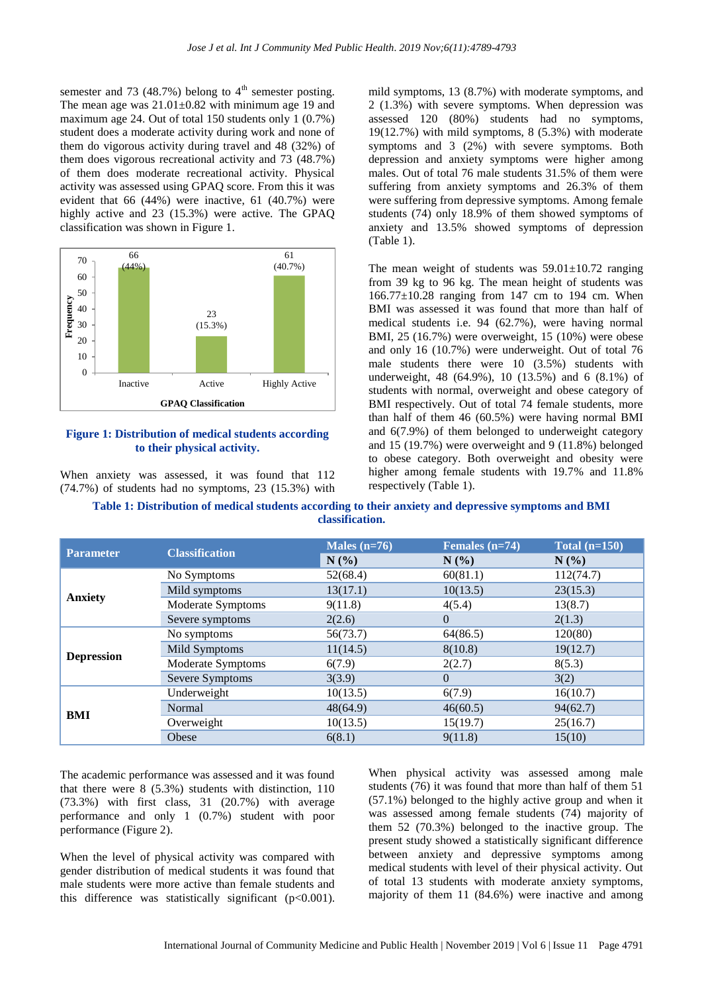semester and 73 (48.7%) belong to  $4<sup>th</sup>$  semester posting. The mean age was  $21.01 \pm 0.82$  with minimum age 19 and maximum age 24. Out of total 150 students only 1 (0.7%) student does a moderate activity during work and none of them do vigorous activity during travel and 48 (32%) of them does vigorous recreational activity and 73 (48.7%) of them does moderate recreational activity. Physical activity was assessed using GPAQ score. From this it was evident that 66 (44%) were inactive, 61 (40.7%) were highly active and 23 (15.3%) were active. The GPAQ classification was shown in Figure 1.



**Figure 1: Distribution of medical students according to their physical activity.**

When anxiety was assessed, it was found that 112 (74.7%) of students had no symptoms, 23 (15.3%) with

mild symptoms, 13 (8.7%) with moderate symptoms, and 2 (1.3%) with severe symptoms. When depression was assessed 120 (80%) students had no symptoms, 19(12.7%) with mild symptoms, 8 (5.3%) with moderate symptoms and 3 (2%) with severe symptoms. Both depression and anxiety symptoms were higher among males. Out of total 76 male students 31.5% of them were suffering from anxiety symptoms and 26.3% of them were suffering from depressive symptoms. Among female students (74) only 18.9% of them showed symptoms of anxiety and 13.5% showed symptoms of depression (Table 1).

The mean weight of students was  $59.01 \pm 10.72$  ranging from 39 kg to 96 kg. The mean height of students was 166.77±10.28 ranging from 147 cm to 194 cm. When BMI was assessed it was found that more than half of medical students i.e. 94 (62.7%), were having normal BMI, 25 (16.7%) were overweight, 15 (10%) were obese and only 16 (10.7%) were underweight. Out of total 76 male students there were 10 (3.5%) students with underweight, 48 (64.9%), 10 (13.5%) and 6 (8.1%) of students with normal, overweight and obese category of BMI respectively. Out of total 74 female students, more than half of them 46 (60.5%) were having normal BMI and 6(7.9%) of them belonged to underweight category and 15 (19.7%) were overweight and 9 (11.8%) belonged to obese category. Both overweight and obesity were higher among female students with 19.7% and 11.8% respectively (Table 1).

| Table 1: Distribution of medical students according to their anxiety and depressive symptoms and BMI |  |
|------------------------------------------------------------------------------------------------------|--|
| classification.                                                                                      |  |

| <b>Parameter</b>  | <b>Classification</b> | Males $(n=76)$ | Females $(n=74)$ | Total $(n=150)$ |
|-------------------|-----------------------|----------------|------------------|-----------------|
|                   |                       | N(%)           | N(%)             | $N(\%)$         |
| <b>Anxiety</b>    | No Symptoms           | 52(68.4)       | 60(81.1)         | 112(74.7)       |
|                   | Mild symptoms         | 13(17.1)       | 10(13.5)         | 23(15.3)        |
|                   | Moderate Symptoms     | 9(11.8)        | 4(5.4)           | 13(8.7)         |
|                   | Severe symptoms       | 2(2.6)         | $\Omega$         | 2(1.3)          |
| <b>Depression</b> | No symptoms           | 56(73.7)       | 64(86.5)         | 120(80)         |
|                   | Mild Symptoms         | 11(14.5)       | 8(10.8)          | 19(12.7)        |
|                   | Moderate Symptoms     | 6(7.9)         | 2(2.7)           | 8(5.3)          |
|                   | Severe Symptoms       | 3(3.9)         | $\Omega$         | 3(2)            |
| BMI               | Underweight           | 10(13.5)       | 6(7.9)           | 16(10.7)        |
|                   | Normal                | 48(64.9)       | 46(60.5)         | 94(62.7)        |
|                   | Overweight            | 10(13.5)       | 15(19.7)         | 25(16.7)        |
|                   | Obese                 | 6(8.1)         | 9(11.8)          | 15(10)          |

The academic performance was assessed and it was found that there were 8 (5.3%) students with distinction, 110 (73.3%) with first class, 31 (20.7%) with average performance and only 1 (0.7%) student with poor performance (Figure 2).

When the level of physical activity was compared with gender distribution of medical students it was found that male students were more active than female students and this difference was statistically significant (p<0.001).

When physical activity was assessed among male students (76) it was found that more than half of them 51 (57.1%) belonged to the highly active group and when it was assessed among female students (74) majority of them 52 (70.3%) belonged to the inactive group. The present study showed a statistically significant difference between anxiety and depressive symptoms among medical students with level of their physical activity. Out of total 13 students with moderate anxiety symptoms, majority of them 11 (84.6%) were inactive and among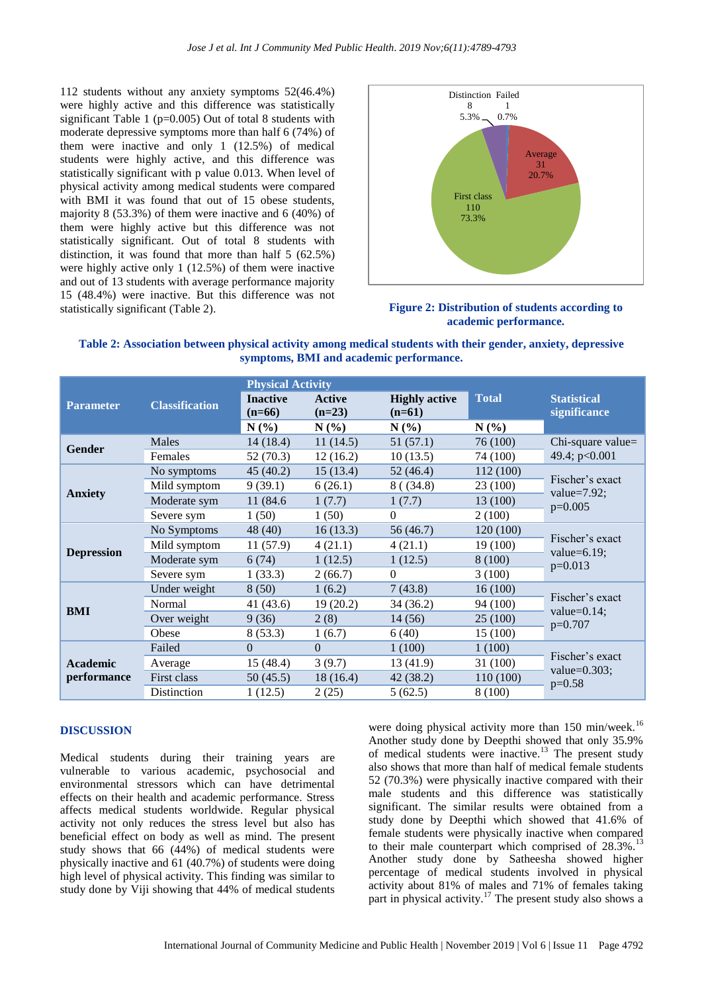112 students without any anxiety symptoms 52(46.4%) were highly active and this difference was statistically significant Table 1 ( $p=0.005$ ) Out of total 8 students with moderate depressive symptoms more than half 6 (74%) of them were inactive and only 1 (12.5%) of medical students were highly active, and this difference was statistically significant with p value 0.013. When level of physical activity among medical students were compared with BMI it was found that out of 15 obese students, majority 8 (53.3%) of them were inactive and 6 (40%) of them were highly active but this difference was not statistically significant. Out of total 8 students with distinction, it was found that more than half 5 (62.5%) were highly active only 1 (12.5%) of them were inactive and out of 13 students with average performance majority 15 (48.4%) were inactive. But this difference was not statistically significant (Table 2). **Figure 2: Distribution of students according to** 



**academic performance.**

#### **Table 2: Association between physical activity among medical students with their gender, anxiety, depressive symptoms, BMI and academic performance.**

|                                |                       | <b>Physical Activity</b>    |                           |                                  |              |                                                 |
|--------------------------------|-----------------------|-----------------------------|---------------------------|----------------------------------|--------------|-------------------------------------------------|
| <b>Parameter</b>               | <b>Classification</b> | <b>Inactive</b><br>$(n=66)$ | <b>Active</b><br>$(n=23)$ | <b>Highly active</b><br>$(n=61)$ | <b>Total</b> | <b>Statistical</b><br>significance              |
|                                |                       | N(%)                        | N(%)                      | $N(\%)$                          | N(%)         |                                                 |
| <b>Gender</b>                  | Males                 | 14(18.4)                    | 11(14.5)                  | 51 (57.1)                        | 76 (100)     | Chi-square value=<br>49.4; p<0.001              |
|                                | Females               | 52(70.3)                    | 12(16.2)                  | 10(13.5)                         | 74 (100)     |                                                 |
| <b>Anxiety</b>                 | No symptoms           | 45(40.2)                    | 15(13.4)                  | 52(46.4)                         | 112 (100)    | Fischer's exact<br>value= $7.92$ ;<br>$p=0.005$ |
|                                | Mild symptom          | 9(39.1)                     | 6(26.1)                   | 8( (34.8)                        | 23 (100)     |                                                 |
|                                | Moderate sym          | 11 (84.6)                   | 1(7.7)                    | 1(7.7)                           | 13 (100)     |                                                 |
|                                | Severe sym            | 1(50)                       | 1(50)                     | $\theta$                         | 2(100)       |                                                 |
| <b>Depression</b>              | No Symptoms           | 48 (40)                     | 16(13.3)                  | 56 (46.7)                        | 120 (100)    | Fischer's exact<br>value= $6.19$ ;<br>$p=0.013$ |
|                                | Mild symptom          | 11(57.9)                    | 4(21.1)                   | 4(21.1)                          | 19 (100)     |                                                 |
|                                | Moderate sym          | 6(74)                       | 1(12.5)                   | 1(12.5)                          | 8(100)       |                                                 |
|                                | Severe sym            | 1(33.3)                     | 2(66.7)                   | $\Omega$                         | 3(100)       |                                                 |
| <b>BMI</b>                     | Under weight          | 8(50)                       | 1(6.2)                    | 7(43.8)                          | 16(100)      | Fischer's exact<br>value= $0.14$ ;<br>$p=0.707$ |
|                                | Normal                | 41 (43.6)                   | 19(20.2)                  | 34 (36.2)                        | 94 (100)     |                                                 |
|                                | Over weight           | 9(36)                       | 2(8)                      | 14(56)                           | 25 (100)     |                                                 |
|                                | Obese                 | 8(53.3)                     | 1(6.7)                    | 6(40)                            | 15 (100)     |                                                 |
| <b>Academic</b><br>performance | Failed                | $\Omega$                    | $\Omega$                  | 1(100)                           | 1(100)       | Fischer's exact<br>value= $0.303$ ;<br>$p=0.58$ |
|                                | Average               | 15(48.4)                    | 3(9.7)                    | 13 (41.9)                        | 31(100)      |                                                 |
|                                | First class           | 50(45.5)                    | 18(16.4)                  | 42 (38.2)                        | 110 (100)    |                                                 |
|                                | Distinction           | 1(12.5)                     | 2(25)                     | 5(62.5)                          | 8 (100)      |                                                 |

#### **DISCUSSION**

Medical students during their training years are vulnerable to various academic, psychosocial and environmental stressors which can have detrimental effects on their health and academic performance. Stress affects medical students worldwide. Regular physical activity not only reduces the stress level but also has beneficial effect on body as well as mind. The present study shows that 66 (44%) of medical students were physically inactive and 61 (40.7%) of students were doing high level of physical activity. This finding was similar to study done by Viji showing that 44% of medical students

were doing physical activity more than 150 min/week.<sup>16</sup> Another study done by Deepthi showed that only 35.9% of medical students were inactive.<sup>13</sup> The present study also shows that more than half of medical female students 52 (70.3%) were physically inactive compared with their male students and this difference was statistically significant. The similar results were obtained from a study done by Deepthi which showed that 41.6% of female students were physically inactive when compared to their male counterpart which comprised of  $28.3\%$ .<sup>13</sup> Another study done by Satheesha showed higher percentage of medical students involved in physical activity about 81% of males and 71% of females taking part in physical activity.<sup>17</sup> The present study also shows a